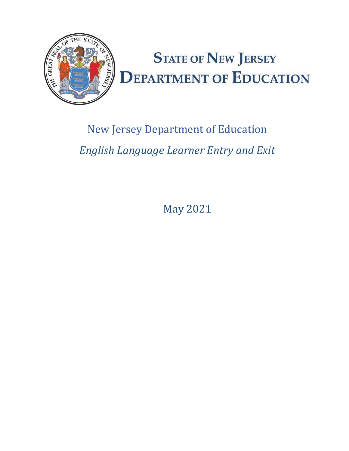

# New Jersey Department of Education *English Language Learner Entry and Exit*

May 2021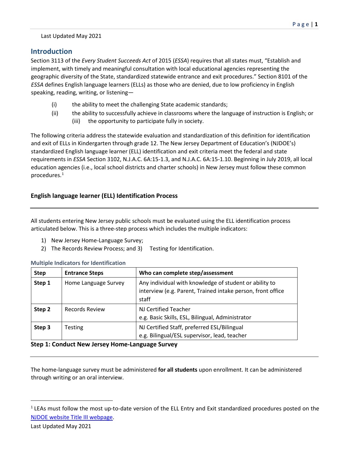# Last Updated May 2021

# **Introduction**

Section 3113 of the *Every Student Succeeds Act* of 2015 (*ESSA*) requires that all states must, "Establish and implement, with timely and meaningful consultation with local educational agencies representing the geographic diversity of the State, standardized statewide entrance and exit procedures." Section 8101 of the *ESSA* defines English language learners (ELLs) as those who are denied, due to low proficiency in English speaking, reading, writing, or listening—

- (i) the ability to meet the challenging State academic standards;
- (ii) the ability to successfully achieve in classrooms where the language of instruction is English; or (iii) the opportunity to participate fully in society.

The following criteria address the statewide evaluation and standardization of this definition for identification and exit of ELLs in Kindergarten through grade 12. The New Jersey Department of Education's (NJDOE's) standardized English language learner (ELL) identification and exit criteria meet the federal and state requirements in *ESSA* Section 3102, N.J.A.C. 6A:15-1.3, and N.J.A.C. 6A:15-1.10. Beginning in July 2019, all local education agencies (i.e., local school districts and charter schools) in New Jersey must follow these common procedures[.1](#page-1-0)

# **English language learner (ELL) Identification Process**

All students entering New Jersey public schools must be evaluated using the ELL identification process articulated below. This is a three-step process which includes the multiple indicators:

- 1) New Jersey Home-Language Survey;
- 2) The Records Review Process; and 3) Testing for Identification.

| <b>Multiple Indicators for Identification</b> |  |
|-----------------------------------------------|--|
|-----------------------------------------------|--|

| <b>Step</b> | <b>Entrance Steps</b> | Who can complete step/assessment                                                                                               |
|-------------|-----------------------|--------------------------------------------------------------------------------------------------------------------------------|
| Step 1      | Home Language Survey  | Any individual with knowledge of student or ability to<br>interview (e.g. Parent, Trained intake person, front office<br>staff |
| Step 2      | Records Review        | NJ Certified Teacher<br>e.g. Basic Skills, ESL, Bilingual, Administrator                                                       |
| Step 3      | <b>Testing</b>        | NJ Certified Staff, preferred ESL/Bilingual<br>e.g. Bilingual/ESL supervisor, lead, teacher                                    |

# **Step 1: Conduct New Jersey Home-Language Survey**

The home-language survey must be administered **for all students** upon enrollment. It can be administered through writing or an oral interview.

<span id="page-1-0"></span><sup>&</sup>lt;sup>1</sup> LEAs must follow the most up-to-date version of the ELL Entry and Exit standardized procedures posted on the [NJDOE website Title III webpage.](https://www.state.nj.us/education/bilingual/)

Last Updated May 2021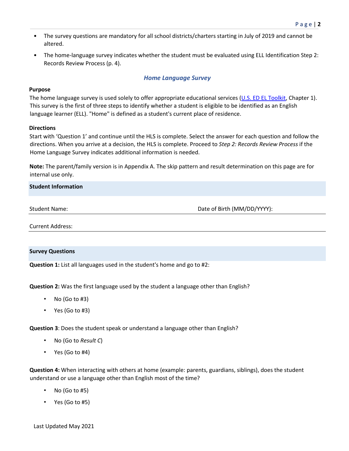- The survey questions are mandatory for all school districts/charters starting in July of 2019 and cannot be altered.
- The home-language survey indicates whether the student must be evaluated using ELL Identification Step 2: Records Review Process (p. 4).

# *Home Language Survey*

# **Purpose**

The home language survey is used solely to offer appropriate educational services [\(U.S. ED EL Toolkit,](https://www2.ed.gov/about/offices/list/oela/english-learner-toolkit/index.html) Chapter 1). This survey is the first of three steps to identify whether a student is eligible to be identified as an English language learner (ELL). "Home" is defined as a student's current place of residence.

# **Directions**

Start with 'Question 1' and continue until the HLS is complete. Select the answer for each question and follow the directions. When you arrive at a decision, the HLS is complete. Proceed to *Step 2: Records Review Process* if the Home Language Survey indicates additional information is needed.

**Note:** The parent/family version is in Appendix A. The skip pattern and result determination on this page are for internal use only.

# **Student Information**

Student Name: Date of Birth (MM/DD/YYYY):

Current Address:

## **Survey Questions**

**Question 1:** List all languages used in the student's home and go to #2:

**Question 2:** Was the first language used by the student a language other than English?

- No (Go to  $#3$ )
- Yes (Go to #3)

**Question 3**: Does the student speak or understand a language other than English?

- No (Go to *Result C*)
- Yes (Go to #4)

**Question 4:** When interacting with others at home (example: parents, guardians, siblings), does the student understand or use a language other than English most of the time?

- No (Go to  $#5$ )
- Yes (Go to #5)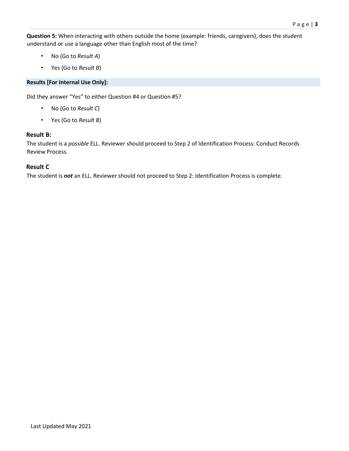**Question 5:** When interacting with others outside the home (example: friends, caregivers), does the student understand or use a language other than English most of the time?

- No (Go to *Result A*)
- Yes (Go to *Result B*)

# **Results [For Internal Use Only]:**

Did they answer "Yes" to either Question #4 or Question #5?

- No (Go to *Result C*)
- Yes (Go to *Result B*)

# **Result B:**

The student is a *possible* ELL. Reviewer should proceed to Step 2 of Identification Process: Conduct Records Review Process.

# **Result C**

The student is *not* an ELL. Reviewer should not proceed to Step 2: Identification Process is complete.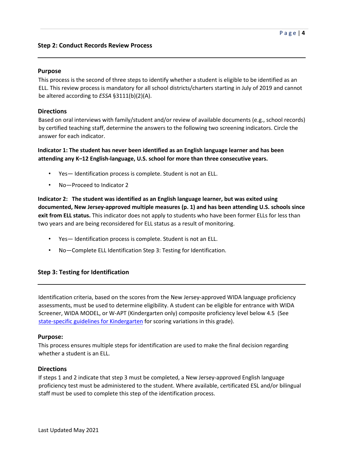# **Purpose**

This process is the second of three steps to identify whether a student is eligible to be identified as an ELL. This review process is mandatory for all school districts/charters starting in July of 2019 and cannot be altered according to *ESSA* §3111(b)(2)(A).

# **Directions**

Based on oral interviews with family/student and/or review of available documents (e.g., school records) by certified teaching staff, determine the answers to the following two screening indicators. Circle the answer for each indicator.

# **Indicator 1: The student has never been identified as an English language learner and has been attending any K–12 English-language, U.S. school for more than three consecutive years.**

- Yes— Identification process is complete. Student is not an ELL.
- No-Proceed to Indicator 2

**Indicator 2: The student was identified as an English language learner, but was exited using documented, New Jersey-approved multiple measures (p. 1) and has been attending U.S. schools since exit from ELL status.** This indicator does not apply to students who have been former ELLs for less than two years and are being reconsidered for ELL status as a result of monitoring.

- Yes— Identification process is complete. Student is not an ELL.
- No-Complete ELL Identification Step 3: Testing for Identification.

# **Step 3: Testing for Identification**

Identification criteria, based on the scores from the New Jersey-approved WIDA language proficiency assessments, must be used to determine eligibility. A student can be eligible for entrance with WIDA Screener, WIDA MODEL, or W-APT (Kindergarten only) composite proficiency level below 4.5 (See [state-specific guidelines for Kindergarten](http://www.nj.gov/education/bilingual/resources/prof_tests.htm) for scoring variations in this grade).

## **Purpose:**

This process ensures multiple steps for identification are used to make the final decision regarding whether a student is an ELL.

## **Directions**

If steps 1 and 2 indicate that step 3 must be completed, a New Jersey-approved English language proficiency test must be administered to the student. Where available, certificated ESL and/or bilingual staff must be used to complete this step of the identification process.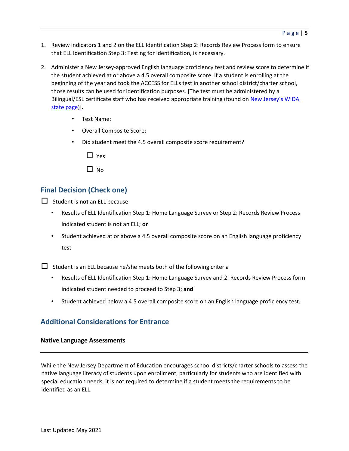- 1. Review indicators 1 and 2 on the ELL Identification Step 2: Records Review Process form to ensure that ELL Identification Step 3: Testing for Identification, is necessary.
- 2. Administer a New Jersey-approved English language proficiency test and review score to determine if the student achieved at or above a 4.5 overall composite score. If a student is enrolling at the beginning of the year and took the ACCESS for ELLs test in another school district/charter school, those results can be used for identification purposes. [The test must be administered by a Bilingual/ESL certificate staff who has received appropriate training (found on New Jersey's WIDA [state page\)\]](https://wida.wisc.edu/memberships/consortium/nj)**.**
	- Test Name:
	- Overall Composite Score:
	- Did student meet the 4.5 overall composite score requirement?
		- $\Box$  Yes
		- $\Box$  No

# **Final Decision (Check one)**

 $\Box$  Student is **not** an ELL because

- Results of ELL Identification Step 1: Home Language Survey or Step 2: Records Review Process indicated student is not an ELL; **or**
- Student achieved at or above a 4.5 overall composite score on an English language proficiency test

 $\square$  Student is an ELL because he/she meets both of the following criteria

- Results of ELL Identification Step 1: Home Language Survey and 2: Records Review Process form indicated student needed to proceed to Step 3; **and**
- Student achieved below a 4.5 overall composite score on an English language proficiency test.

# **Additional Considerations for Entrance**

## **Native Language Assessments**

While the New Jersey Department of Education encourages school districts/charter schools to assess the native language literacy of students upon enrollment, particularly for students who are identified with special education needs, it is not required to determine if a student meets the requirements to be identified as an ELL.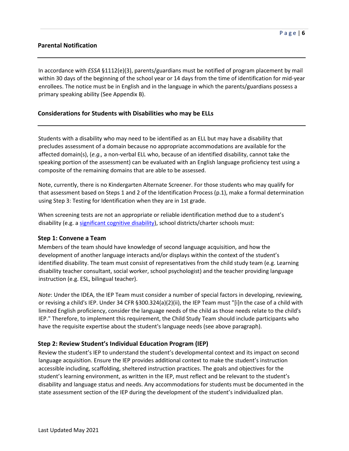# **Parental Notification**

In accordance with *ESSA* §1112(e)(3), parents/guardians must be notified of program placement by mail within 30 days of the beginning of the school year or 14 days from the time of identification for mid-year enrollees. The notice must be in English and in the language in which the parents/guardians possess a primary speaking ability (See Appendix B).

## **Considerations for Students with Disabilities who may be ELLs**

Students with a disability who may need to be identified as an ELL but may have a disability that precludes assessment of a domain because no appropriate accommodations are available for the affected domain(s), (*e.g.,* a non-verbal ELL who, because of an identified disability, cannot take the speaking portion of the assessment) can be evaluated with an English language proficiency test using a composite of the remaining domains that are able to be assessed.

Note, currently, there is no Kindergarten Alternate Screener. For those students who may qualify for that assessment based on Steps 1 and 2 of the Identification Process (p.1), make a formal determination using Step 3: Testing for Identification when they are in 1st grade.

When screening tests are not an appropriate or reliable identification method due to a student's disability (e.g. a [significant cognitive disability\),](https://dynamiclearningmaps.org/sites/default/files/documents/dlm_participation_guidelines.pdf) school districts/charter schools must:

#### **Step 1: Convene a Team**

Members of the team should have knowledge of second language acquisition, and how the development of another language interacts and/or displays within the context of the student's identified disability. The team must consist of representatives from the child study team (e.g. Learning disability teacher consultant, social worker, school psychologist) and the teacher providing language instruction (e.g. ESL, bilingual teacher).

*Note*: Under the IDEA, the IEP Team must consider a number of special factors in developing, reviewing, or revising a child's IEP. Under 34 CFR §300.324(a)(2)(ii), the IEP Team must "[i]n the case of a child with limited English proficiency, consider the language needs of the child as those needs relate to the child's IEP." Therefore, to implement this requirement, the Child Study Team should include participants who have the requisite expertise about the student's language needs (see above paragraph).

## **Step 2: Review Student's Individual Education Program (IEP)**

Review the student's IEP to understand the student's developmental context and its impact on second language acquisition. Ensure the IEP provides additional context to make the student's instruction accessible including, scaffolding, sheltered instruction practices. The goals and objectives for the student's learning environment, as written in the IEP, must reflect and be relevant to the student's disability and language status and needs. Any accommodations for students must be documented in the state assessment section of the IEP during the development of the student's individualized plan.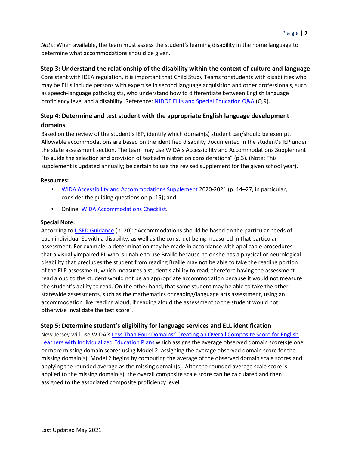*Note*: When available, the team must assess the student's learning disability in the home language to determine what accommodations should be given.

# **Step 3: Understand the relationship of the disability within the context of culture and language**

Consistent with IDEA regulation, it is important that Child Study Teams for students with disabilities who may be ELLs include persons with expertise in second language acquisition and other professionals, such as speech-language pathologists, who understand how to differentiate between English language proficiency level and a disability. Reference: [NJDOE ELLs and Special Education Q&A](https://www.state.nj.us/education/bilingual/news/FAQse.htm) (Q.9).

# **Step 4: Determine and test student with the appropriate English language development domains**

Based on the review of the student's IEP, identify which domain(s) student can/should be exempt. Allowable accommodations are based on the identified disability documented in the student's IEP under the state assessment section. The team may use WIDA's Accessibility and Accommodations Supplement "to guide the selection and provision of test administration considerations" (p.3). (Note: This supplement is updated annually; be certain to use the revised supplement for the given school year).

#### **Resources:**

- [WIDA Accessibility and Accommodations Supplement](https://wida.wisc.edu/sites/default/files/resource/ACCESS-Accessibility-Accommodations-Supplement.pdf) [2](https://wida.wisc.edu/sites/default/files/resource/ACCESS-Accessibility-Accommodations-Supplement.pdf)020-2021 (p. 14–27, in particular, consider the guiding questions on p. 15); and
- Online[: WIDA Accommodations Checklist.](https://wida.wisc.edu/sites/default/files/resource/ACCESS-Online-Accommodations-Checklist.pdf)

#### **Special Note:**

Acc[o](https://files.eric.ed.gov/fulltext/ED578773.pdf)rding to [USED Guidance](https://files.eric.ed.gov/fulltext/ED578773.pdf) (p. 20): "Accommodations should be based on the particular needs of each individual EL with a disability, as well as the construct being measured in that particular assessment. For example, a determination may be made in accordance with applicable procedures that a visuallyimpaired EL who is unable to use Braille because he or she has a physical or neurological disability that precludes the student from reading Braille may not be able to take the reading portion of the ELP assessment, which measures a student's ability to read; therefore having the assessment read aloud to the student would not be an appropriate accommodation because it would not measure the student's ability to read. On the other hand, that same student may be able to take the other statewide assessments, such as the mathematics or reading/language arts assessment, using an accommodation like reading aloud, if reading aloud the assessment to the student would not otherwise invalidate the test score".

# **Step 5: Determine student's eligibility for language services and ELL identification**

New Jersey will use WIDA's [Less Than Four Domains" Creating an Overall Composite Score for English](https://wida.wisc.edu/sites/default/files/resource/Less-Than-Four-Domains.pdf) [Learners with Individualized Education Plans](https://wida.wisc.edu/sites/default/files/resource/Less-Than-Four-Domains.pdf) [w](https://wida.wisc.edu/sites/default/files/resource/Less-Than-Four-Domains.pdf)hich assigns the average observed domain score(s)e one or more missing domain scores using Model 2: assigning the average observed domain score for the missing domain(s). Model 2 begins by computing the average of the observed domain scale scores and applying the rounded average as the missing domain(s). After the rounded average scale score is applied to the missing domain(s), the overall composite scale score can be calculated and then assigned to the associated composite proficiency level.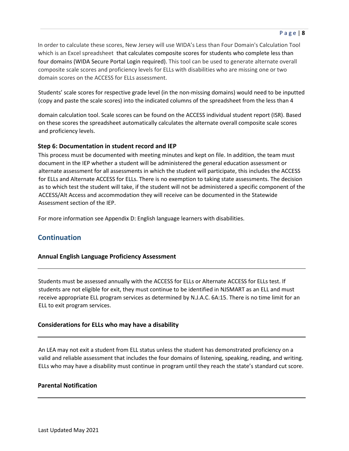In order to calculate these scores, New Jersey will use WIDA's Less than Four Domain's Calculation Tool which is an Excel spreadsheet that calculates composite scores for students who complete less than four domains (WIDA Secure Portal Login required). This tool can be used to generate alternate overall composite scale scores and proficiency levels for ELLs with disabilities who are missing one or two domain scores on the ACCESS for ELLs assessment.

Students' scale scores for respective grade level (in the non-missing domains) would need to be inputted (copy and paste the scale scores) into the indicated columns of the spreadsheet from the less than 4

domain calculation tool. Scale scores can be found on the ACCESS individual student report (ISR). Based on these scores the spreadsheet automatically calculates the alternate overall composite scale scores and proficiency levels.

# **Step 6: Documentation in student record and IEP**

This process must be documented with meeting minutes and kept on file. In addition, the team must document in the IEP whether a student will be administered the general education assessment or alternate assessment for all assessments in which the student will participate, this includes the ACCESS for ELLs and Alternate ACCESS for ELLs. There is no exemption to taking state assessments. The decision as to which test the student will take, if the student will not be administered a specific component of the ACCESS/Alt Access and accommodation they will receive can be documented in the Statewide Assessment section of the IEP.

For more information see Appendix D: English language learners with disabilities.

# **Continuation**

# **Annual English Language Proficiency Assessment**

Students must be assessed annually with the ACCESS for ELLs or Alternate ACCESS for ELLs test. If students are not eligible for exit, they must continue to be identified in NJSMART as an ELL and must receive appropriate ELL program services as determined by N.J.A.C. 6A:15. There is no time limit for an ELL to exit program services.

# **Considerations for ELLs who may have a disability**

An LEA may not exit a student from ELL status unless the student has demonstrated proficiency on a valid and reliable assessment that includes the four domains of listening, speaking, reading, and writing. ELLs who may have a disability must continue in program until they reach the state's standard cut score.

# **Parental Notification**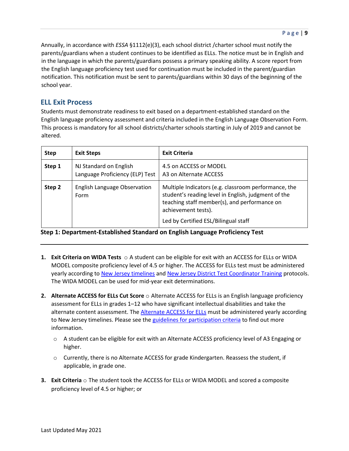Annually, in accordance with *ESSA* §1112(e)(3), each school district /charter school must notify the parents/guardians when a student continues to be identified as ELLs. The notice must be in English and in the language in which the parents/guardians possess a primary speaking ability. A score report from the English language proficiency test used for continuation must be included in the parent/guardian notification. This notification must be sent to parents/guardians within 30 days of the beginning of the school year.

# **ELL Exit Process**

Students must demonstrate readiness to exit based on a department-established standard on the English language proficiency assessment and criteria included in the English Language Observation Form. This process is mandatory for all school districts/charter schools starting in July of 2019 and cannot be altered.

| <b>Step</b> | <b>Exit Steps</b>                                         | <b>Exit Criteria</b>                                                                                                                                                                                                       |
|-------------|-----------------------------------------------------------|----------------------------------------------------------------------------------------------------------------------------------------------------------------------------------------------------------------------------|
| Step 1      | NJ Standard on English<br>Language Proficiency (ELP) Test | 4.5 on ACCESS or MODEL<br>A3 on Alternate ACCESS                                                                                                                                                                           |
| Step 2      | English Language Observation<br>Form                      | Multiple Indicators (e.g. classroom performance, the<br>student's reading level in English, judgment of the<br>teaching staff member(s), and performance on<br>achievement tests).<br>Led by Certified ESL/Bilingual staff |

**Step 1: Department-Established Standard on English Language Proficiency Test** 

- **1. Exit Criteria on WIDA Tests** o A student can be eligible for exit with an ACCESS for ELLs or WIDA MODEL composite proficiency level of 4.5 or higher. The ACCESS for ELLs test must be administered yearly according t[o New Jersey timelines](https://wida.wisc.edu/memberships/consortium/nj) an[d New Jersey District Test Coordinator Training](https://wida.wisc.edu/sites/default/files/Website/State%20Pages/New-Jersey/NJ-ACCESS-DTC-Training.pdf) protocols. The WIDA MODEL can be used for mid-year exit determinations.
- **2. Alternate ACCESS for ELLs Cut Score** o Alternate ACCESS for ELLs is an English language proficiency assessment for ELLs in grades 1–12 who have significant intellectual disabilities and take the alternate content assess[m](https://www.wida.us/assessment/alternateaccess.aspx)ent. The **Alternate ACCESS for ELLs** must be administered yearly according to New Jersey timelines. Please see th[e guidelines for participation criteria](https://www.wida.us/assessment/alternateaccess.aspx#participation-criteria) to find out more information.
	- o A student can be eligible for exit with an Alternate ACCESS proficiency level of A3 Engaging or higher.
	- o Currently, there is no Alternate ACCESS for grade Kindergarten. Reassess the student, if applicable, in grade one.
- **3. Exit Criteria** o The student took the ACCESS for ELLs or WIDA MODEL and scored a composite proficiency level of 4.5 or higher; or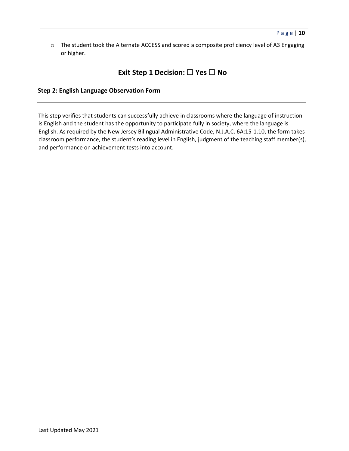o The student took the Alternate ACCESS and scored a composite proficiency level of A3 Engaging or higher.

# **Exit Step 1 Decision:** ☐ **Yes** ☐ **No**

## **Step 2: English Language Observation Form**

This step verifies that students can successfully achieve in classrooms where the language of instruction is English and the student has the opportunity to participate fully in society, where the language is English. As required by the New Jersey Bilingual Administrative Code, N.J.A.C. 6A:15-1.10, the form takes classroom performance, the student's reading level in English, judgment of the teaching staff member(s), and performance on achievement tests into account.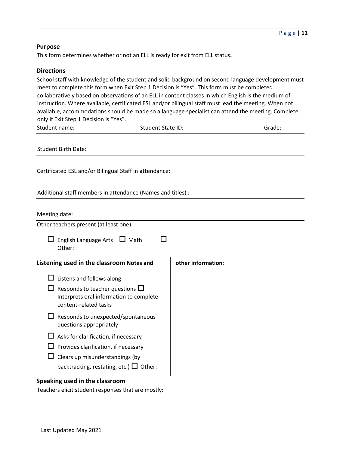# **Purpose**

This form determines whether or not an ELL is ready for exit from ELL status**.** 

#### **Directions**

School staff with knowledge of the student and solid background on second language development must meet to complete this form when Exit Step 1 Decision is "Yes". This form must be completed collaboratively based on observations of an ELL in content classes in which English is the medium of instruction. Where available, certificated ESL and/or bilingual staff must lead the meeting. When not available, accommodations should be made so a language specialist can attend the meeting. Complete only if Exit Step 1 Decision is "Yes".

| only if exit step I Decision is res.                                                                        |                          |                    |        |
|-------------------------------------------------------------------------------------------------------------|--------------------------|--------------------|--------|
| Student name:                                                                                               | <b>Student State ID:</b> |                    | Grade: |
| <b>Student Birth Date:</b>                                                                                  |                          |                    |        |
| Certificated ESL and/or Bilingual Staff in attendance:                                                      |                          |                    |        |
| Additional staff members in attendance (Names and titles) :                                                 |                          |                    |        |
| Meeting date:                                                                                               |                          |                    |        |
| Other teachers present (at least one):                                                                      |                          |                    |        |
| English Language Arts $\Box$ Math<br>Other:                                                                 |                          |                    |        |
| Listening used in the classroom Notes and                                                                   |                          | other information: |        |
| Listens and follows along                                                                                   |                          |                    |        |
| Responds to teacher questions $\square$<br>Interprets oral information to complete<br>content-related tasks |                          |                    |        |
| Responds to unexpected/spontaneous<br>questions appropriately                                               |                          |                    |        |
| Asks for clarification, if necessary                                                                        |                          |                    |        |
| Provides clarification, if necessary                                                                        |                          |                    |        |
| Clears up misunderstandings (by                                                                             |                          |                    |        |
| backtracking, restating, etc.) $\Box$ Other:                                                                |                          |                    |        |

#### **Speaking used in the classroom**

Teachers elicit student responses that are mostly: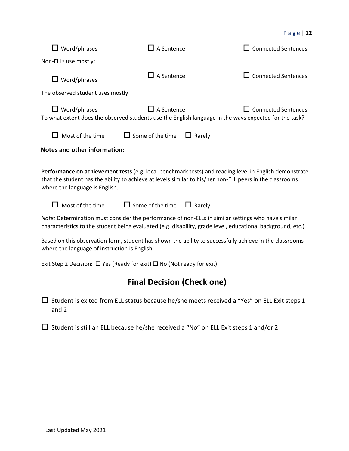|                                                                                                                                                                                                                                                                                                                                                                                                                                                                                                                                                                                                                                                                                                                                                                                            |                                          | Page   $12$                                                                                                                         |  |  |
|--------------------------------------------------------------------------------------------------------------------------------------------------------------------------------------------------------------------------------------------------------------------------------------------------------------------------------------------------------------------------------------------------------------------------------------------------------------------------------------------------------------------------------------------------------------------------------------------------------------------------------------------------------------------------------------------------------------------------------------------------------------------------------------------|------------------------------------------|-------------------------------------------------------------------------------------------------------------------------------------|--|--|
| $\Box$ Word/phrases                                                                                                                                                                                                                                                                                                                                                                                                                                                                                                                                                                                                                                                                                                                                                                        | $\Box$ A Sentence                        | $\Box$ Connected Sentences                                                                                                          |  |  |
| Non-ELLs use mostly:                                                                                                                                                                                                                                                                                                                                                                                                                                                                                                                                                                                                                                                                                                                                                                       |                                          |                                                                                                                                     |  |  |
| $\Box$ Word/phrases                                                                                                                                                                                                                                                                                                                                                                                                                                                                                                                                                                                                                                                                                                                                                                        | $\Box$ A Sentence                        | $\Box$ Connected Sentences                                                                                                          |  |  |
| The observed student uses mostly                                                                                                                                                                                                                                                                                                                                                                                                                                                                                                                                                                                                                                                                                                                                                           |                                          |                                                                                                                                     |  |  |
| $\Box$ Word/phrases                                                                                                                                                                                                                                                                                                                                                                                                                                                                                                                                                                                                                                                                                                                                                                        | $\Box$ A Sentence                        | $\Box$ Connected Sentences<br>To what extent does the observed students use the English language in the ways expected for the task? |  |  |
| $\Box$ Most of the time                                                                                                                                                                                                                                                                                                                                                                                                                                                                                                                                                                                                                                                                                                                                                                    | $\Box$ Some of the time<br>$\Box$ Rarely |                                                                                                                                     |  |  |
| <b>Notes and other information:</b>                                                                                                                                                                                                                                                                                                                                                                                                                                                                                                                                                                                                                                                                                                                                                        |                                          |                                                                                                                                     |  |  |
| Performance on achievement tests (e.g. local benchmark tests) and reading level in English demonstrate<br>that the student has the ability to achieve at levels similar to his/her non-ELL peers in the classrooms<br>where the language is English.<br>$\Box$ Some of the time<br>Most of the time<br>$\Box$ Rarely<br>Note: Determination must consider the performance of non-ELLs in similar settings who have similar<br>characteristics to the student being evaluated (e.g. disability, grade level, educational background, etc.).<br>Based on this observation form, student has shown the ability to successfully achieve in the classrooms<br>where the language of instruction is English.<br>Exit Step 2 Decision: $\Box$ Yes (Ready for exit) $\Box$ No (Not ready for exit) |                                          |                                                                                                                                     |  |  |
| <b>Final Decision (Check one)</b>                                                                                                                                                                                                                                                                                                                                                                                                                                                                                                                                                                                                                                                                                                                                                          |                                          |                                                                                                                                     |  |  |
| and 2                                                                                                                                                                                                                                                                                                                                                                                                                                                                                                                                                                                                                                                                                                                                                                                      |                                          | Student is exited from ELL status because he/she meets received a "Yes" on ELL Exit steps 1                                         |  |  |
| Student is still an ELL because he/she received a "No" on ELL Exit steps 1 and/or 2                                                                                                                                                                                                                                                                                                                                                                                                                                                                                                                                                                                                                                                                                                        |                                          |                                                                                                                                     |  |  |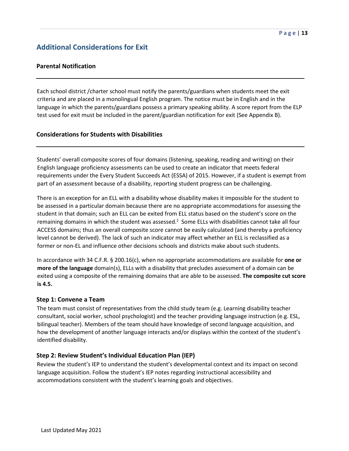# **Additional Considerations for Exit**

# **Parental Notification**

Each school district /charter school must notify the parents/guardians when students meet the exit criteria and are placed in a monolingual English program. The notice must be in English and in the language in which the parents/guardians possess a primary speaking ability. A score report from the ELP test used for exit must be included in the parent/guardian notification for exit (See Appendix B).

## **Considerations for Students with Disabilities**

Students' overall composite scores of four domains (listening, speaking, reading and writing) on their English language proficiency assessments can be used to create an indicator that meets federal requirements under the Every Student Succeeds Act (ESSA) of 2015. However, if a student is exempt from part of an assessment because of a disability, reporting student progress can be challenging.

There is an exception for an ELL with a disability whose disability makes it impossible for the student to be assessed in a particular domain because there are no appropriate accommodations for assessing the student in that domain; such an ELL can be exited from ELL status based on the student's score on the remaining domains in which the student was assessed.<sup>2</sup> Some ELLs with disabilities cannot take all four ACCESS domains; thus an overall composite score cannot be easily calculated (and thereby a proficiency level cannot be derived). The lack of such an indicator may affect whether an ELL is reclassified as a former or non-EL and influence other decisions schools and districts make about such students.

In accordance with 34 C.F.R. § 200.16(c), when no appropriate accommodations are available for **one or more of the language** domain(s), ELLs with a disability that precludes assessment of a domain can be exited using a composite of the remaining domains that are able to be assessed. **The composite cut score is 4.5.** 

## **Step 1: Convene a Team**

The team must consist of representatives from the child study team (e.g. Learning disability teacher consultant, social worker, school psychologist) and the teacher providing language instruction (e.g. ESL, bilingual teacher). Members of the team should have knowledge of second language acquisition, and how the development of another language interacts and/or displays within the context of the student's identified disability.

## **Step 2: Review Student's Individual Education Plan (IEP)**

Review the student's IEP to understand the student's developmental context and its impact on second language acquisition. Follow the student's IEP notes regarding instructional accessibility and accommodations consistent with the student's learning goals and objectives.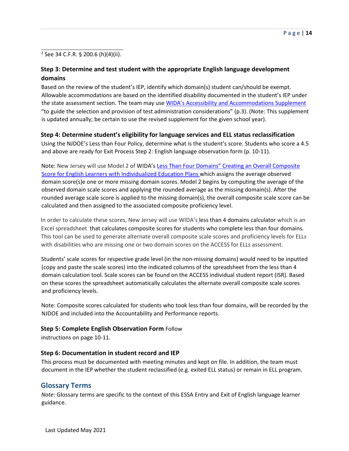<sup>2</sup> See 34 C.F.R. § 200.6 (h)(4)(ii).

# **Step 3: Determine and test student with the appropriate English language development domains**

Based on the review of the student's IEP, identify which domain(s) student can/should be exempt. Allowable accommodations are based on the identified disability documented in the student's IEP under the state assessment section. The team may use [WIDA's Accessibility and Accommodations Supplement](https://wida.wisc.edu/sites/default/files/resource/ACCESS-Accessibility-Accommodations-Supplement.pdf) "to guide the selection and provision of test administration considerations" (p.3). (Note: This supplement is updated annually; be certain to use the revised supplement for the given school year).

# **Step 4: Determine student's eligibility for language services and ELL status reclassification**

Using the NJDOE's Less than Four Policy, determine what is the student's score. Students who score a 4.5 and above are ready for Exit Process Step 2: English language observation form (p. 10-11).

Note: New Jersey will use Model 2 of WIDA's [Less Than Four Domains" Creating an Overall Composite](https://wida.wisc.edu/sites/default/files/resource/Less-Than-Four-Domains.pdf) [Score for English Learners with Individualized Education Plans](https://wida.wisc.edu/sites/default/files/resource/Less-Than-Four-Domains.pdf) [w](https://wida.wisc.edu/sites/default/files/resource/Less-Than-Four-Domains.pdf)hich assigns the average observed domain score(s)e one or more missing domain scores. Model 2 begins by computing the average of the observed domain scale scores and applying the rounded average as the missing domain(s). After the rounded average scale score is applied to the missing domain(s), the overall composite scale score can be calculated and then assigned to the associated composite proficiency level.

In order to calculate these scores, New Jersey will use WIDA's less than 4 domains calculator [w](https://sea.wida.us/documents/less-four-domains-calculation-tool)hich is an Excel spreadsheet that calculates composite scores for students who complete less than four domains. This tool can be used to generate alternate overall composite scale scores and proficiency levels for ELLs with disabilities who are missing one or two domain scores on the ACCESS for ELLs assessment.

Students' scale scores for respective grade level (in the non-missing domains) would need to be inputted (copy and paste the scale scores) into the indicated columns of the spreadsheet from the less than 4 domain calculation tool. Scale scores can be found on the ACCESS individual student report (ISR). Based on these scores the spreadsheet automatically calculates the alternate overall composite scale scores and proficiency levels.

Note: Composite scores calculated for students who took less than four domains, will be recorded by the NJDOE and included into the Accountability and Performance reports.

## **Step 5: Complete English Observation Form** Follow

instructions on page 10-11.

## **Step 6: Documentation in student record and IEP**

This process must be documented with meeting minutes and kept on file. In addition, the team must document in the IEP whether the student reclassified (e.g. exited ELL status) or remain in ELL program.

# **Glossary Terms**

*Note:* Glossary terms are specific to the context of this ESSA Entry and Exit of English language learner guidance.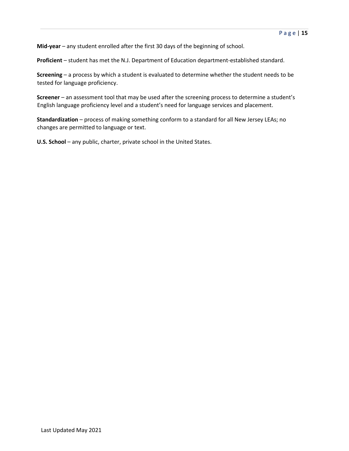**Mid-year** – any student enrolled after the first 30 days of the beginning of school.

**Proficient** – student has met the N.J. Department of Education department-established standard.

**Screening** – a process by which a student is evaluated to determine whether the student needs to be tested for language proficiency.

**Screener** – an assessment tool that may be used after the screening process to determine a student's English language proficiency level and a student's need for language services and placement.

**Standardization** – process of making something conform to a standard for all New Jersey LEAs; no changes are permitted to language or text.

**U.S. School** – any public, charter, private school in the United States.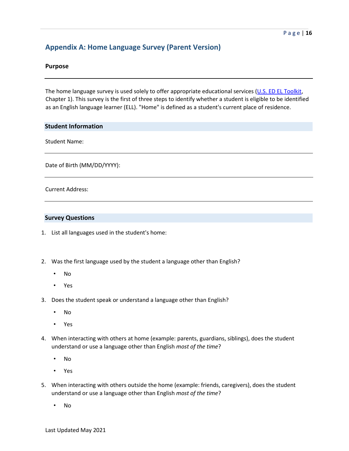# **Appendix A: Home Language Survey (Parent Version)**

## **Purpose**

The home language survey is used solely to offer appropriate educational services [\(U.S. ED EL Toolkit,](https://www2.ed.gov/about/offices/list/oela/english-learner-toolkit/index.html) Chapter 1). This survey is the first of three steps to identify whether a student is eligible to be identified as an English language learner (ELL). "Home" is defined as a student's current place of residence.

## **Student Information**

Student Name:

Date of Birth (MM/DD/YYYY):

Current Address:

#### **Survey Questions**

- 1. List all languages used in the student's home:
- 2. Was the first language used by the student a language other than English?
	- No
	- Yes
- 3. Does the student speak or understand a language other than English?
	- No
	- Yes
- 4. When interacting with others at home (example: parents, guardians, siblings), does the student understand or use a language other than English *most of the time*?
	- No
	- Yes
- 5. When interacting with others outside the home (example: friends, caregivers), does the student understand or use a language other than English *most of the time*?
	- No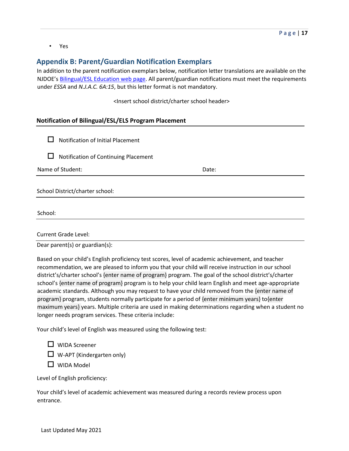• Yes

# **Appendix B: Parent/Guardian Notification Exemplars**

In addition to the parent notification exemplars below, notification letter translations are available on the NJDOE's [Bilingual/ESL Education web page.](http://www.nj.gov/education/bilingual/) All parent/guardian notifications must meet the requirements under *ESSA* and *N.J.A.C. 6A:15*, but this letter format is not mandatory.

<Insert school district/charter school header>

# **Notification of Bilingual/ESL/ELS Program Placement**

|  |  |  | $\Box$ Notification of Initial Placement |
|--|--|--|------------------------------------------|
|--|--|--|------------------------------------------|

 $\Box$  Notification of Continuing Placement

Name of Student: Name of Student: Name of Student: Name of Students and Date: Date:  $\Box$ 

School District/charter school:

School:

Current Grade Level:

Dear parent(s) or guardian(s):

Based on your child's English proficiency test scores, level of academic achievement, and teacher recommendation, we are pleased to inform you that your child will receive instruction in our school district's/charter school's {enter name of program} program. The goal of the school district's/charter school's {enter name of program} program is to help your child learn English and meet age-appropriate academic standards. Although you may request to have your child removed from the {enter name of program} program, students normally participate for a period of {enter minimum years} to{enter maximum years} years. Multiple criteria are used in making determinations regarding when a student no longer needs program services. These criteria include:

Your child's level of English was measured using the following test:

□ WIDA Screener

 $\Box$  W-APT (Kindergarten only)

 $\Box$  WIDA Model

Level of English proficiency:

Your child's level of academic achievement was measured during a records review process upon entrance.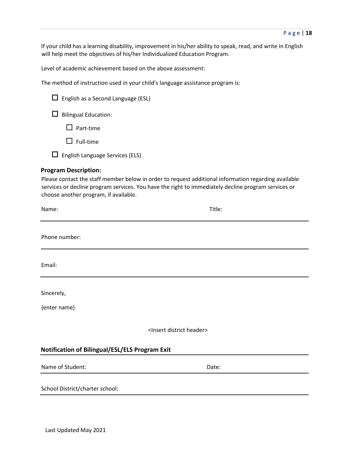If your child has a learning disability, improvement in his/her ability to speak, read, and write in English will help meet the objectives of his/her Individualized Education Program.

Level of academic achievement based on the above assessment:

The method of instruction used in your child's language assistance program is:

| $\Box$ English as a Second Language (ESL)                            |                                                                                                                                                                                                             |
|----------------------------------------------------------------------|-------------------------------------------------------------------------------------------------------------------------------------------------------------------------------------------------------------|
| <b>Bilingual Education:</b><br>ப                                     |                                                                                                                                                                                                             |
| Part-time                                                            |                                                                                                                                                                                                             |
| $\Box$ Full-time                                                     |                                                                                                                                                                                                             |
| $\Box$ English Language Services (ELS)                               |                                                                                                                                                                                                             |
| <b>Program Description:</b><br>choose another program, if available. | Please contact the staff member below in order to request additional information regarding available<br>services or decline program services. You have the right to immediately decline program services or |
| Name:                                                                | Title:                                                                                                                                                                                                      |
| Phone number:                                                        |                                                                                                                                                                                                             |
| Email:                                                               |                                                                                                                                                                                                             |
| Sincerely,                                                           |                                                                                                                                                                                                             |
| {enter name}                                                         |                                                                                                                                                                                                             |
|                                                                      | <insert district="" header=""></insert>                                                                                                                                                                     |
| Notification of Bilingual/ESL/ELS Program Exit                       |                                                                                                                                                                                                             |
| Name of Student:                                                     | Date:                                                                                                                                                                                                       |

School District/charter school: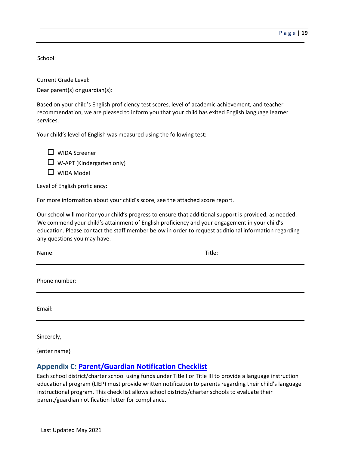School:

Current Grade Level:

Dear parent(s) or guardian(s):

Based on your child's English proficiency test scores, level of academic achievement, and teacher recommendation, we are pleased to inform you that your child has exited English language learner services.

Your child's level of English was measured using the following test:

□ WIDA Screener  $\Box$  W-APT (Kindergarten only)  $\Box$  WIDA Model

Level of English proficiency:

For more information about your child's score, see the attached score report.

Our school will monitor your child's progress to ensure that additional support is provided, as needed. We commend your child's attainment of English proficiency and your engagement in your child's education. Please contact the staff member below in order to request additional information regarding any questions you may have.

Name: Title:

Phone number:

Email:

Sincerely,

{enter name}

# **Appendix C: [Parent/Guardian Notification Checklist](https://www.state.nj.us/education/bilingual/title3/accountability/notification/)**

Each school district/charter school using funds under Title I or Title III to provide a language instruction educational program (LIEP) must provide written notification to parents regarding their child's language instructional program. This check list allows school districts/charter schools to evaluate their parent/guardian notification letter for compliance.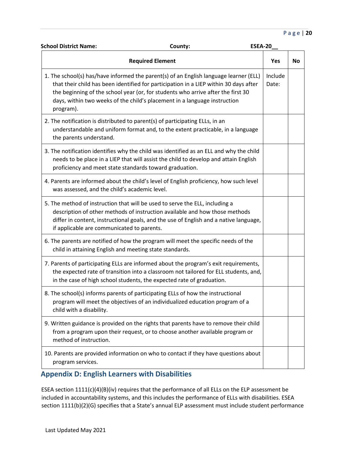## P a g e | **20**

| <b>School District Name:</b>                            | County:                                                                                                                                                                                                                                                                                                                                         | <b>ESEA-20</b> |                  |    |
|---------------------------------------------------------|-------------------------------------------------------------------------------------------------------------------------------------------------------------------------------------------------------------------------------------------------------------------------------------------------------------------------------------------------|----------------|------------------|----|
|                                                         | <b>Required Element</b>                                                                                                                                                                                                                                                                                                                         |                | Yes              | No |
| program).                                               | 1. The school(s) has/have informed the parent(s) of an English language learner (ELL)<br>that their child has been identified for participation in a LIEP within 30 days after<br>the beginning of the school year (or, for students who arrive after the first 30<br>days, within two weeks of the child's placement in a language instruction |                | Include<br>Date: |    |
| the parents understand.                                 | 2. The notification is distributed to parent(s) of participating ELLs, in an<br>understandable and uniform format and, to the extent practicable, in a language                                                                                                                                                                                 |                |                  |    |
| proficiency and meet state standards toward graduation. | 3. The notification identifies why the child was identified as an ELL and why the child<br>needs to be place in a LIEP that will assist the child to develop and attain English                                                                                                                                                                 |                |                  |    |
| was assessed, and the child's academic level.           | 4. Parents are informed about the child's level of English proficiency, how such level                                                                                                                                                                                                                                                          |                |                  |    |
| if applicable are communicated to parents.              | 5. The method of instruction that will be used to serve the ELL, including a<br>description of other methods of instruction available and how those methods<br>differ in content, instructional goals, and the use of English and a native language,                                                                                            |                |                  |    |
| child in attaining English and meeting state standards. | 6. The parents are notified of how the program will meet the specific needs of the                                                                                                                                                                                                                                                              |                |                  |    |
|                                                         | 7. Parents of participating ELLs are informed about the program's exit requirements,<br>the expected rate of transition into a classroom not tailored for ELL students, and,<br>in the case of high school students, the expected rate of graduation.                                                                                           |                |                  |    |
| child with a disability.                                | 8. The school(s) informs parents of participating ELLs of how the instructional<br>program will meet the objectives of an individualized education program of a                                                                                                                                                                                 |                |                  |    |
| method of instruction.                                  | 9. Written guidance is provided on the rights that parents have to remove their child<br>from a program upon their request, or to choose another available program or                                                                                                                                                                           |                |                  |    |
| program services.                                       | 10. Parents are provided information on who to contact if they have questions about                                                                                                                                                                                                                                                             |                |                  |    |

# **Appendix D: English Learners with Disabilities**

ESEA section 1111(c)(4)(B)(iv) requires that the performance of all ELLs on the ELP assessment be included in accountability systems, and this includes the performance of ELLs with disabilities. ESEA section 1111(b)(2)(G) specifies that a State's annual ELP assessment must include student performance